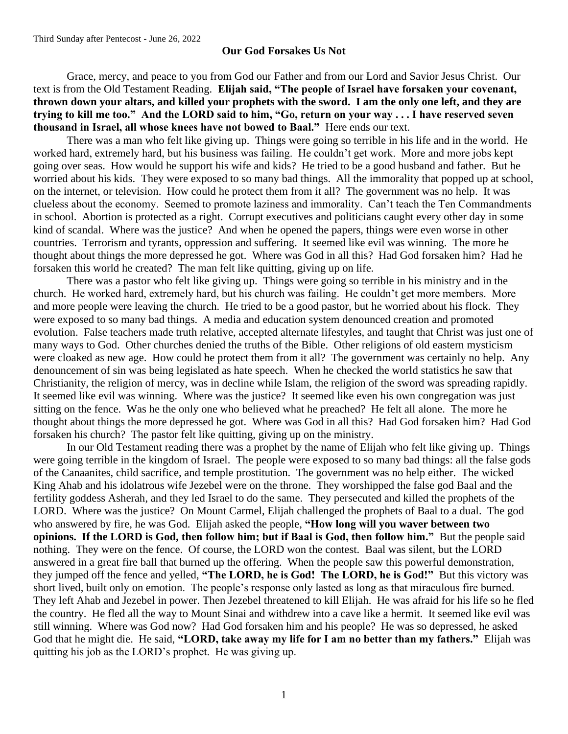## **Our God Forsakes Us Not**

Grace, mercy, and peace to you from God our Father and from our Lord and Savior Jesus Christ. Our text is from the Old Testament Reading. **Elijah said, "The people of Israel have forsaken your covenant, thrown down your altars, and killed your prophets with the sword. I am the only one left, and they are trying to kill me too." And the LORD said to him, "Go, return on your way . . . I have reserved seven thousand in Israel, all whose knees have not bowed to Baal."** Here ends our text.

There was a man who felt like giving up. Things were going so terrible in his life and in the world. He worked hard, extremely hard, but his business was failing. He couldn't get work. More and more jobs kept going over seas. How would he support his wife and kids? He tried to be a good husband and father. But he worried about his kids. They were exposed to so many bad things. All the immorality that popped up at school, on the internet, or television. How could he protect them from it all? The government was no help. It was clueless about the economy. Seemed to promote laziness and immorality. Can't teach the Ten Commandments in school. Abortion is protected as a right. Corrupt executives and politicians caught every other day in some kind of scandal. Where was the justice? And when he opened the papers, things were even worse in other countries. Terrorism and tyrants, oppression and suffering. It seemed like evil was winning. The more he thought about things the more depressed he got. Where was God in all this? Had God forsaken him? Had he forsaken this world he created? The man felt like quitting, giving up on life.

There was a pastor who felt like giving up. Things were going so terrible in his ministry and in the church. He worked hard, extremely hard, but his church was failing. He couldn't get more members. More and more people were leaving the church. He tried to be a good pastor, but he worried about his flock. They were exposed to so many bad things. A media and education system denounced creation and promoted evolution. False teachers made truth relative, accepted alternate lifestyles, and taught that Christ was just one of many ways to God. Other churches denied the truths of the Bible. Other religions of old eastern mysticism were cloaked as new age. How could he protect them from it all? The government was certainly no help. Any denouncement of sin was being legislated as hate speech. When he checked the world statistics he saw that Christianity, the religion of mercy, was in decline while Islam, the religion of the sword was spreading rapidly. It seemed like evil was winning. Where was the justice? It seemed like even his own congregation was just sitting on the fence. Was he the only one who believed what he preached? He felt all alone. The more he thought about things the more depressed he got. Where was God in all this? Had God forsaken him? Had God forsaken his church? The pastor felt like quitting, giving up on the ministry.

In our Old Testament reading there was a prophet by the name of Elijah who felt like giving up. Things were going terrible in the kingdom of Israel. The people were exposed to so many bad things: all the false gods of the Canaanites, child sacrifice, and temple prostitution. The government was no help either. The wicked King Ahab and his idolatrous wife Jezebel were on the throne. They worshipped the false god Baal and the fertility goddess Asherah, and they led Israel to do the same. They persecuted and killed the prophets of the LORD. Where was the justice? On Mount Carmel, Elijah challenged the prophets of Baal to a dual. The god who answered by fire, he was God. Elijah asked the people, **"How long will you waver between two opinions. If the LORD is God, then follow him; but if Baal is God, then follow him."** But the people said nothing. They were on the fence. Of course, the LORD won the contest. Baal was silent, but the LORD answered in a great fire ball that burned up the offering. When the people saw this powerful demonstration, they jumped off the fence and yelled, **"The LORD, he is God! The LORD, he is God!"** But this victory was short lived, built only on emotion. The people's response only lasted as long as that miraculous fire burned. They left Ahab and Jezebel in power. Then Jezebel threatened to kill Elijah. He was afraid for his life so he fled the country. He fled all the way to Mount Sinai and withdrew into a cave like a hermit. It seemed like evil was still winning. Where was God now? Had God forsaken him and his people? He was so depressed, he asked God that he might die. He said, **"LORD, take away my life for I am no better than my fathers."** Elijah was quitting his job as the LORD's prophet. He was giving up.